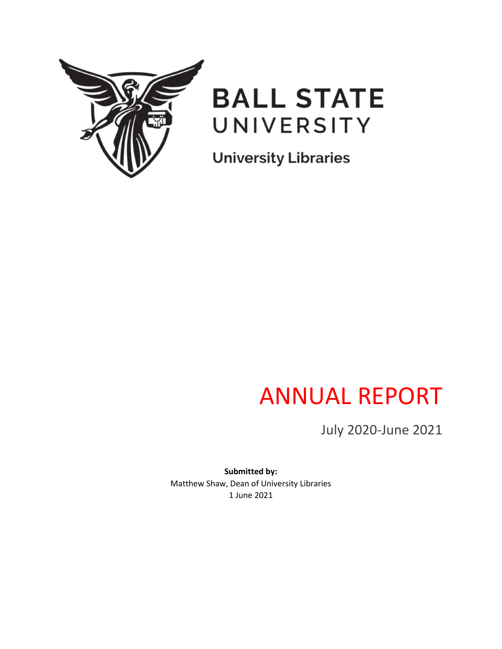



**University Libraries** 

# ANNUAL REPORT

July 2020-June 2021

**Submitted by:** Matthew Shaw, Dean of University Libraries 1 June 2021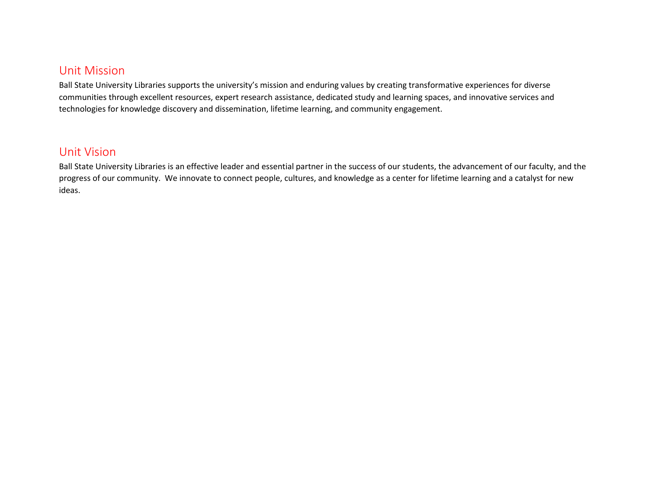#### Unit Mission

Ball State University Libraries supports the university's mission and enduring values by creating transformative experiences for diverse communities through excellent resources, expert research assistance, dedicated study and learning spaces, and innovative services and technologies for knowledge discovery and dissemination, lifetime learning, and community engagement.

#### Unit Vision

Ball State University Libraries is an effective leader and essential partner in the success of our students, the advancement of our faculty, and the progress of our community. We innovate to connect people, cultures, and knowledge as a center for lifetime learning and a catalyst for new ideas.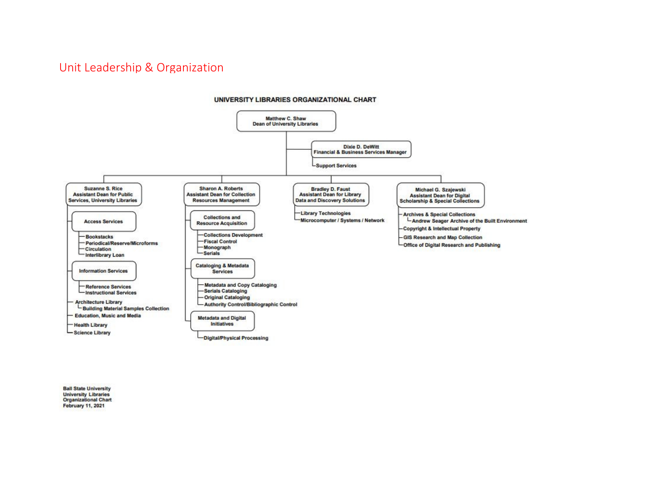#### Unit Leadership & Organization



**Ball State University University Libraries Organizational Chart February 11, 2021**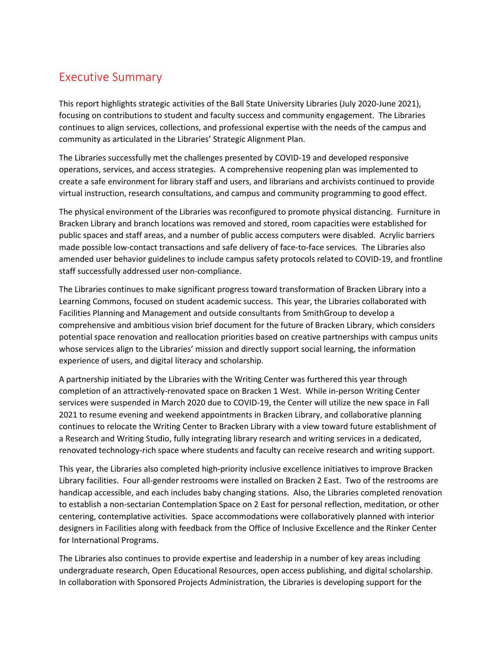#### Executive Summary

This report highlights strategic activities of the Ball State University Libraries (July 2020-June 2021), focusing on contributions to student and faculty success and community engagement. The Libraries continues to align services, collections, and professional expertise with the needs of the campus and community as articulated in the Libraries' Strategic Alignment Plan.

The Libraries successfully met the challenges presented by COVID-19 and developed responsive operations, services, and access strategies. A comprehensive reopening plan was implemented to create a safe environment for library staff and users, and librarians and archivists continued to provide virtual instruction, research consultations, and campus and community programming to good effect.

The physical environment of the Libraries was reconfigured to promote physical distancing. Furniture in Bracken Library and branch locations was removed and stored, room capacities were established for public spaces and staff areas, and a number of public access computers were disabled. Acrylic barriers made possible low-contact transactions and safe delivery of face-to-face services. The Libraries also amended user behavior guidelines to include campus safety protocols related to COVID-19, and frontline staff successfully addressed user non-compliance.

The Libraries continues to make significant progress toward transformation of Bracken Library into a Learning Commons, focused on student academic success. This year, the Libraries collaborated with Facilities Planning and Management and outside consultants from SmithGroup to develop a comprehensive and ambitious vision brief document for the future of Bracken Library, which considers potential space renovation and reallocation priorities based on creative partnerships with campus units whose services align to the Libraries' mission and directly support social learning, the information experience of users, and digital literacy and scholarship.

A partnership initiated by the Libraries with the Writing Center was furthered this year through completion of an attractively-renovated space on Bracken 1 West. While in-person Writing Center services were suspended in March 2020 due to COVID-19, the Center will utilize the new space in Fall 2021 to resume evening and weekend appointments in Bracken Library, and collaborative planning continues to relocate the Writing Center to Bracken Library with a view toward future establishment of a Research and Writing Studio, fully integrating library research and writing services in a dedicated, renovated technology-rich space where students and faculty can receive research and writing support.

This year, the Libraries also completed high-priority inclusive excellence initiatives to improve Bracken Library facilities. Four all-gender restrooms were installed on Bracken 2 East. Two of the restrooms are handicap accessible, and each includes baby changing stations. Also, the Libraries completed renovation to establish a non-sectarian Contemplation Space on 2 East for personal reflection, meditation, or other centering, contemplative activities. Space accommodations were collaboratively planned with interior designers in Facilities along with feedback from the Office of Inclusive Excellence and the Rinker Center for International Programs.

The Libraries also continues to provide expertise and leadership in a number of key areas including undergraduate research, Open Educational Resources, open access publishing, and digital scholarship. In collaboration with Sponsored Projects Administration, the Libraries is developing support for the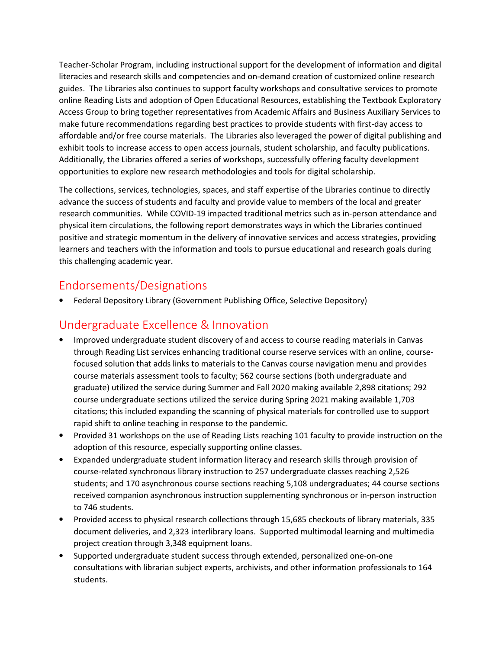Teacher-Scholar Program, including instructional support for the development of information and digital literacies and research skills and competencies and on-demand creation of customized online research guides. The Libraries also continues to support faculty workshops and consultative services to promote online Reading Lists and adoption of Open Educational Resources, establishing the Textbook Exploratory Access Group to bring together representatives from Academic Affairs and Business Auxiliary Services to make future recommendations regarding best practices to provide students with first-day access to affordable and/or free course materials. The Libraries also leveraged the power of digital publishing and exhibit tools to increase access to open access journals, student scholarship, and faculty publications. Additionally, the Libraries offered a series of workshops, successfully offering faculty development opportunities to explore new research methodologies and tools for digital scholarship.

The collections, services, technologies, spaces, and staff expertise of the Libraries continue to directly advance the success of students and faculty and provide value to members of the local and greater research communities. While COVID-19 impacted traditional metrics such as in-person attendance and physical item circulations, the following report demonstrates ways in which the Libraries continued positive and strategic momentum in the delivery of innovative services and access strategies, providing learners and teachers with the information and tools to pursue educational and research goals during this challenging academic year.

#### Endorsements/Designations

• Federal Depository Library (Government Publishing Office, Selective Depository)

#### Undergraduate Excellence & Innovation

- Improved undergraduate student discovery of and access to course reading materials in Canvas through Reading List services enhancing traditional course reserve services with an online, coursefocused solution that adds links to materials to the Canvas course navigation menu and provides course materials assessment tools to faculty; 562 course sections (both undergraduate and graduate) utilized the service during Summer and Fall 2020 making available 2,898 citations; 292 course undergraduate sections utilized the service during Spring 2021 making available 1,703 citations; this included expanding the scanning of physical materials for controlled use to support rapid shift to online teaching in response to the pandemic.
- Provided 31 workshops on the use of Reading Lists reaching 101 faculty to provide instruction on the adoption of this resource, especially supporting online classes.
- Expanded undergraduate student information literacy and research skills through provision of course-related synchronous library instruction to 257 undergraduate classes reaching 2,526 students; and 170 asynchronous course sections reaching 5,108 undergraduates; 44 course sections received companion asynchronous instruction supplementing synchronous or in-person instruction to 746 students.
- Provided access to physical research collections through 15,685 checkouts of library materials, 335 document deliveries, and 2,323 interlibrary loans. Supported multimodal learning and multimedia project creation through 3,348 equipment loans.
- Supported undergraduate student success through extended, personalized one-on-one consultations with librarian subject experts, archivists, and other information professionals to 164 students.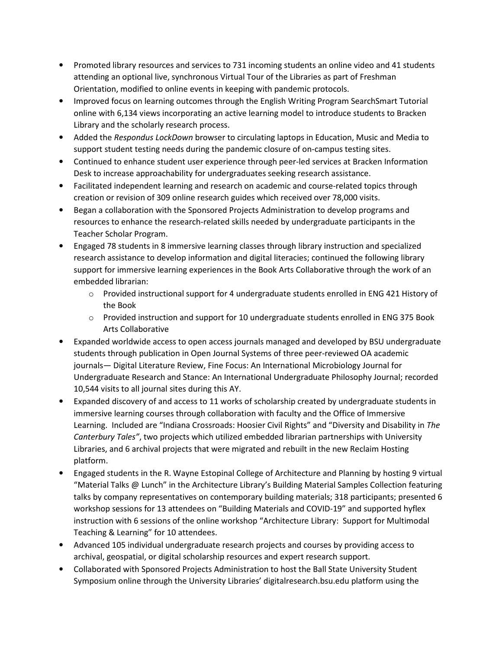- Promoted library resources and services to 731 incoming students an online video and 41 students attending an optional live, synchronous Virtual Tour of the Libraries as part of Freshman Orientation, modified to online events in keeping with pandemic protocols.
- Improved focus on learning outcomes through the English Writing Program SearchSmart Tutorial online with 6,134 views incorporating an active learning model to introduce students to Bracken Library and the scholarly research process.
- Added the *Respondus LockDown* browser to circulating laptops in Education, Music and Media to support student testing needs during the pandemic closure of on-campus testing sites.
- Continued to enhance student user experience through peer-led services at Bracken Information Desk to increase approachability for undergraduates seeking research assistance.
- Facilitated independent learning and research on academic and course-related topics through creation or revision of 309 online research guides which received over 78,000 visits.
- Began a collaboration with the Sponsored Projects Administration to develop programs and resources to enhance the research-related skills needed by undergraduate participants in the Teacher Scholar Program.
- Engaged 78 students in 8 immersive learning classes through library instruction and specialized research assistance to develop information and digital literacies; continued the following library support for immersive learning experiences in the Book Arts Collaborative through the work of an embedded librarian:
	- o Provided instructional support for 4 undergraduate students enrolled in ENG 421 History of the Book
	- o Provided instruction and support for 10 undergraduate students enrolled in ENG 375 Book Arts Collaborative
- Expanded worldwide access to open access journals managed and developed by BSU undergraduate students through publication in Open Journal Systems of three peer-reviewed OA academic journals— Digital Literature Review, Fine Focus: An International Microbiology Journal for Undergraduate Research and Stance: An International Undergraduate Philosophy Journal; recorded 10,544 visits to all journal sites during this AY.
- Expanded discovery of and access to 11 works of scholarship created by undergraduate students in immersive learning courses through collaboration with faculty and the Office of Immersive Learning. Included are "Indiana Crossroads: Hoosier Civil Rights" and "Diversity and Disability in *The Canterbury Tales"*, two projects which utilized embedded librarian partnerships with University Libraries, and 6 archival projects that were migrated and rebuilt in the new Reclaim Hosting platform.
- Engaged students in the R. Wayne Estopinal College of Architecture and Planning by hosting 9 virtual "Material Talks @ Lunch" in the Architecture Library's Building Material Samples Collection featuring talks by company representatives on contemporary building materials; 318 participants; presented 6 workshop sessions for 13 attendees on "Building Materials and COVID-19" and supported hyflex instruction with 6 sessions of the online workshop "Architecture Library: Support for Multimodal Teaching & Learning" for 10 attendees.
- Advanced 105 individual undergraduate research projects and courses by providing access to archival, geospatial, or digital scholarship resources and expert research support.
- Collaborated with Sponsored Projects Administration to host the Ball State University Student Symposium online through the University Libraries' digitalresearch.bsu.edu platform using the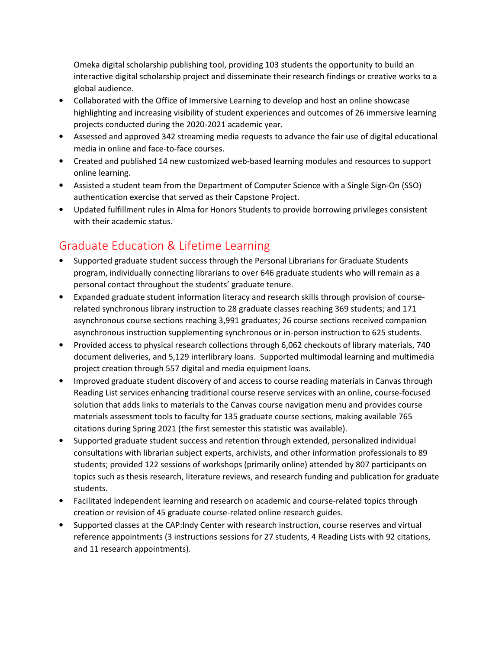Omeka digital scholarship publishing tool, providing 103 students the opportunity to build an interactive digital scholarship project and disseminate their research findings or creative works to a global audience.

- Collaborated with the Office of Immersive Learning to develop and host an online showcase highlighting and increasing visibility of student experiences and outcomes of 26 immersive learning projects conducted during the 2020-2021 academic year.
- Assessed and approved 342 streaming media requests to advance the fair use of digital educational media in online and face-to-face courses.
- Created and published 14 new customized web-based learning modules and resources to support online learning.
- Assisted a student team from the Department of Computer Science with a Single Sign-On (SSO) authentication exercise that served as their Capstone Project.
- Updated fulfillment rules in Alma for Honors Students to provide borrowing privileges consistent with their academic status.

### Graduate Education & Lifetime Learning

- Supported graduate student success through the Personal Librarians for Graduate Students program, individually connecting librarians to over 646 graduate students who will remain as a personal contact throughout the students' graduate tenure.
- Expanded graduate student information literacy and research skills through provision of courserelated synchronous library instruction to 28 graduate classes reaching 369 students; and 171 asynchronous course sections reaching 3,991 graduates; 26 course sections received companion asynchronous instruction supplementing synchronous or in-person instruction to 625 students.
- Provided access to physical research collections through 6,062 checkouts of library materials, 740 document deliveries, and 5,129 interlibrary loans. Supported multimodal learning and multimedia project creation through 557 digital and media equipment loans.
- Improved graduate student discovery of and access to course reading materials in Canvas through Reading List services enhancing traditional course reserve services with an online, course-focused solution that adds links to materials to the Canvas course navigation menu and provides course materials assessment tools to faculty for 135 graduate course sections, making available 765 citations during Spring 2021 (the first semester this statistic was available).
- Supported graduate student success and retention through extended, personalized individual consultations with librarian subject experts, archivists, and other information professionals to 89 students; provided 122 sessions of workshops (primarily online) attended by 807 participants on topics such as thesis research, literature reviews, and research funding and publication for graduate students.
- Facilitated independent learning and research on academic and course-related topics through creation or revision of 45 graduate course-related online research guides.
- Supported classes at the CAP:Indy Center with research instruction, course reserves and virtual reference appointments (3 instructions sessions for 27 students, 4 Reading Lists with 92 citations, and 11 research appointments).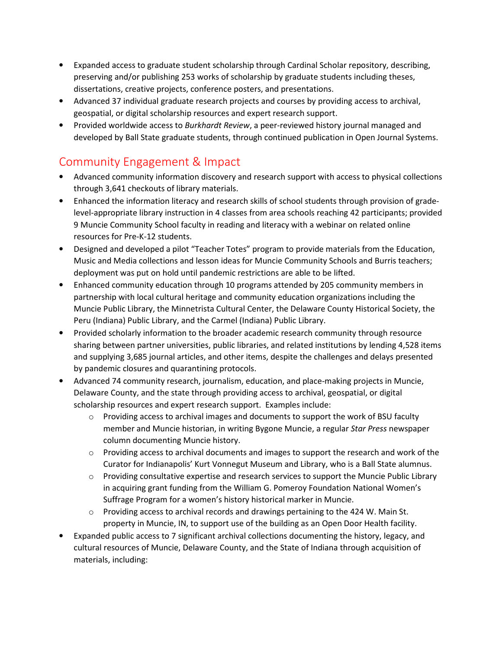- Expanded access to graduate student scholarship through Cardinal Scholar repository, describing, preserving and/or publishing 253 works of scholarship by graduate students including theses, dissertations, creative projects, conference posters, and presentations.
- Advanced 37 individual graduate research projects and courses by providing access to archival, geospatial, or digital scholarship resources and expert research support.
- Provided worldwide access to *Burkhardt Review*, a peer-reviewed history journal managed and developed by Ball State graduate students, through continued publication in Open Journal Systems.

#### Community Engagement & Impact

- Advanced community information discovery and research support with access to physical collections through 3,641 checkouts of library materials.
- Enhanced the information literacy and research skills of school students through provision of gradelevel-appropriate library instruction in 4 classes from area schools reaching 42 participants; provided 9 Muncie Community School faculty in reading and literacy with a webinar on related online resources for Pre-K-12 students.
- Designed and developed a pilot "Teacher Totes" program to provide materials from the Education, Music and Media collections and lesson ideas for Muncie Community Schools and Burris teachers; deployment was put on hold until pandemic restrictions are able to be lifted.
- Enhanced community education through 10 programs attended by 205 community members in partnership with local cultural heritage and community education organizations including the Muncie Public Library, the Minnetrista Cultural Center, the Delaware County Historical Society, the Peru (Indiana) Public Library, and the Carmel (Indiana) Public Library.
- Provided scholarly information to the broader academic research community through resource sharing between partner universities, public libraries, and related institutions by lending 4,528 items and supplying 3,685 journal articles, and other items, despite the challenges and delays presented by pandemic closures and quarantining protocols.
- Advanced 74 community research, journalism, education, and place-making projects in Muncie, Delaware County, and the state through providing access to archival, geospatial, or digital scholarship resources and expert research support. Examples include:
	- $\circ$  Providing access to archival images and documents to support the work of BSU faculty member and Muncie historian, in writing Bygone Muncie, a regular *Star Press* newspaper column documenting Muncie history.
	- $\circ$  Providing access to archival documents and images to support the research and work of the Curator for Indianapolis' Kurt Vonnegut Museum and Library, who is a Ball State alumnus.
	- $\circ$  Providing consultative expertise and research services to support the Muncie Public Library in acquiring grant funding from the William G. Pomeroy Foundation National Women's Suffrage Program for a women's history historical marker in Muncie.
	- $\circ$  Providing access to archival records and drawings pertaining to the 424 W. Main St. property in Muncie, IN, to support use of the building as an Open Door Health facility.
- Expanded public access to 7 significant archival collections documenting the history, legacy, and cultural resources of Muncie, Delaware County, and the State of Indiana through acquisition of materials, including: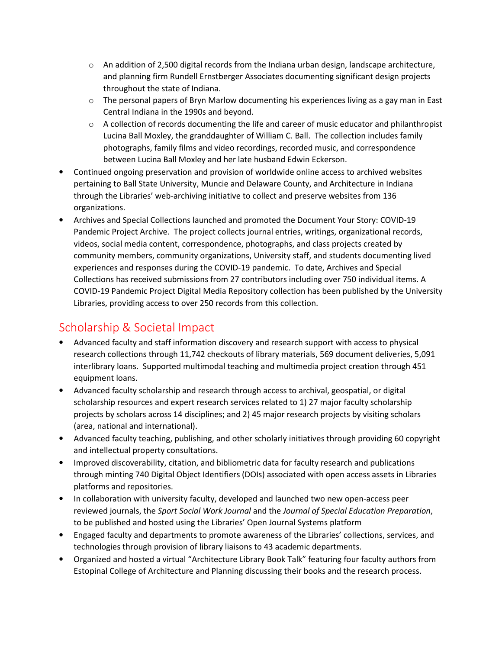- $\circ$  An addition of 2,500 digital records from the Indiana urban design, landscape architecture, and planning firm Rundell Ernstberger Associates documenting significant design projects throughout the state of Indiana.
- $\circ$  The personal papers of Bryn Marlow documenting his experiences living as a gay man in East Central Indiana in the 1990s and beyond.
- $\circ$  A collection of records documenting the life and career of music educator and philanthropist Lucina Ball Moxley, the granddaughter of William C. Ball. The collection includes family photographs, family films and video recordings, recorded music, and correspondence between Lucina Ball Moxley and her late husband Edwin Eckerson.
- Continued ongoing preservation and provision of worldwide online access to archived websites pertaining to Ball State University, Muncie and Delaware County, and Architecture in Indiana through the Libraries' web-archiving initiative to collect and preserve websites from 136 organizations.
- Archives and Special Collections launched and promoted the Document Your Story: COVID-19 Pandemic Project Archive. The project collects journal entries, writings, organizational records, videos, social media content, correspondence, photographs, and class projects created by community members, community organizations, University staff, and students documenting lived experiences and responses during the COVID-19 pandemic. To date, Archives and Special Collections has received submissions from 27 contributors including over 750 individual items. A COVID-19 Pandemic Project Digital Media Repository collection has been published by the University Libraries, providing access to over 250 records from this collection.

#### Scholarship & Societal Impact

- Advanced faculty and staff information discovery and research support with access to physical research collections through 11,742 checkouts of library materials, 569 document deliveries, 5,091 interlibrary loans. Supported multimodal teaching and multimedia project creation through 451 equipment loans.
- Advanced faculty scholarship and research through access to archival, geospatial, or digital scholarship resources and expert research services related to 1) 27 major faculty scholarship projects by scholars across 14 disciplines; and 2) 45 major research projects by visiting scholars (area, national and international).
- Advanced faculty teaching, publishing, and other scholarly initiatives through providing 60 copyright and intellectual property consultations.
- Improved discoverability, citation, and bibliometric data for faculty research and publications through minting 740 Digital Object Identifiers (DOIs) associated with open access assets in Libraries platforms and repositories.
- In collaboration with university faculty, developed and launched two new open-access peer reviewed journals, the *Sport Social Work Journal* and the *Journal of Special Education Preparation*, to be published and hosted using the Libraries' Open Journal Systems platform
- Engaged faculty and departments to promote awareness of the Libraries' collections, services, and technologies through provision of library liaisons to 43 academic departments.
- Organized and hosted a virtual "Architecture Library Book Talk" featuring four faculty authors from Estopinal College of Architecture and Planning discussing their books and the research process.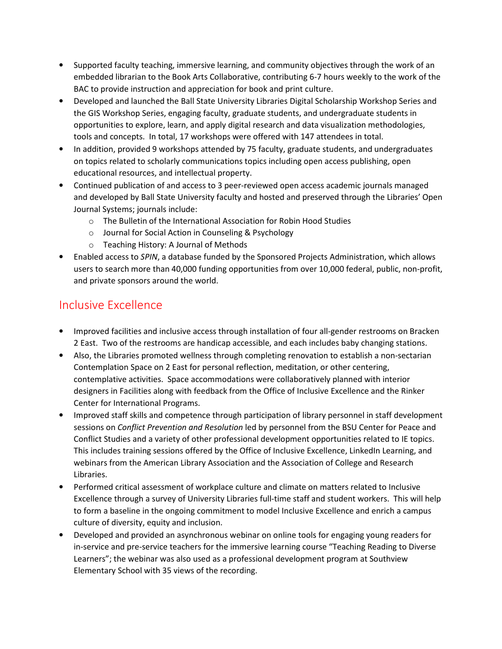- Supported faculty teaching, immersive learning, and community objectives through the work of an embedded librarian to the Book Arts Collaborative, contributing 6-7 hours weekly to the work of the BAC to provide instruction and appreciation for book and print culture.
- Developed and launched the Ball State University Libraries Digital Scholarship Workshop Series and the GIS Workshop Series, engaging faculty, graduate students, and undergraduate students in opportunities to explore, learn, and apply digital research and data visualization methodologies, tools and concepts. In total, 17 workshops were offered with 147 attendees in total.
- In addition, provided 9 workshops attended by 75 faculty, graduate students, and undergraduates on topics related to scholarly communications topics including open access publishing, open educational resources, and intellectual property.
- Continued publication of and access to 3 peer-reviewed open access academic journals managed and developed by Ball State University faculty and hosted and preserved through the Libraries' Open Journal Systems; journals include:
	- o The Bulletin of the International Association for Robin Hood Studies
	- o Journal for Social Action in Counseling & Psychology
	- o Teaching History: A Journal of Methods
- Enabled access to *SPIN*, a database funded by the Sponsored Projects Administration, which allows users to search more than 40,000 funding opportunities from over 10,000 federal, public, non-profit, and private sponsors around the world.

# Inclusive Excellence

- Improved facilities and inclusive access through installation of four all-gender restrooms on Bracken 2 East. Two of the restrooms are handicap accessible, and each includes baby changing stations.
- Also, the Libraries promoted wellness through completing renovation to establish a non-sectarian Contemplation Space on 2 East for personal reflection, meditation, or other centering, contemplative activities. Space accommodations were collaboratively planned with interior designers in Facilities along with feedback from the Office of Inclusive Excellence and the Rinker Center for International Programs.
- Improved staff skills and competence through participation of library personnel in staff development sessions on *Conflict Prevention and Resolution* led by personnel from the BSU Center for Peace and Conflict Studies and a variety of other professional development opportunities related to IE topics. This includes training sessions offered by the Office of Inclusive Excellence, LinkedIn Learning, and webinars from the American Library Association and the Association of College and Research Libraries.
- Performed critical assessment of workplace culture and climate on matters related to Inclusive Excellence through a survey of University Libraries full-time staff and student workers. This will help to form a baseline in the ongoing commitment to model Inclusive Excellence and enrich a campus culture of diversity, equity and inclusion.
- Developed and provided an asynchronous webinar on online tools for engaging young readers for in-service and pre-service teachers for the immersive learning course "Teaching Reading to Diverse Learners"; the webinar was also used as a professional development program at Southview Elementary School with 35 views of the recording.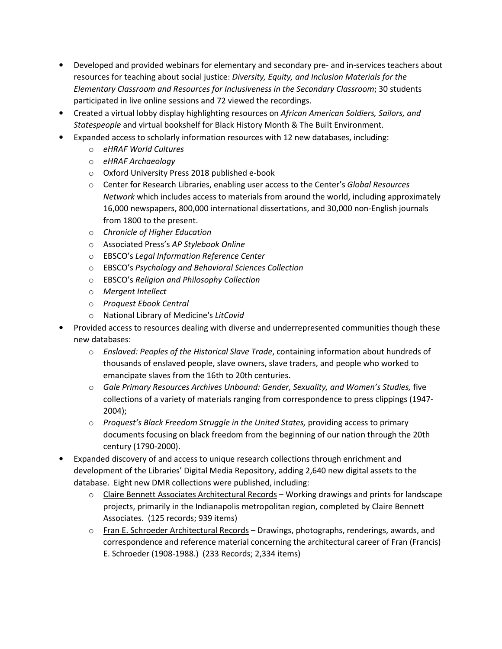- Developed and provided webinars for elementary and secondary pre- and in-services teachers about resources for teaching about social justice: *Diversity, Equity, and Inclusion Materials for the Elementary Classroom and Resources for Inclusiveness in the Secondary Classroom*; 30 students participated in live online sessions and 72 viewed the recordings.
- Created a virtual lobby display highlighting resources on *African American Soldiers, Sailors, and Statespeople* and virtual bookshelf for Black History Month & The Built Environment.
- Expanded access to scholarly information resources with 12 new databases, including:
	- o *eHRAF World Cultures*
	- o *eHRAF Archaeology*
	- o Oxford University Press 2018 published e-book
	- o Center for Research Libraries, enabling user access to the Center's *Global Resources Network* which includes access to materials from around the world, including approximately 16,000 newspapers, 800,000 international dissertations, and 30,000 non-English journals from 1800 to the present.
	- o *Chronicle of Higher Education*
	- o Associated Press's *AP Stylebook Online*
	- o EBSCO's *Legal Information Reference Center*
	- o EBSCO's *Psychology and Behavioral Sciences Collection*
	- o EBSCO's *Religion and Philosophy Collection*
	- o *Mergent Intellect*
	- o *Proquest Ebook Central*
	- o National Library of Medicine's *LitCovid*
- Provided access to resources dealing with diverse and underrepresented communities though these new databases:
	- o *Enslaved: Peoples of the Historical Slave Trade*, containing information about hundreds of thousands of enslaved people, slave owners, slave traders, and people who worked to emancipate slaves from the 16th to 20th centuries.
	- o *Gale Primary Resources Archives Unbound: Gender, Sexuality, and Women's Studies,* five collections of a variety of materials ranging from correspondence to press clippings (1947- 2004);
	- o *Proquest's Black Freedom Struggle in the United States,* providing access to primary documents focusing on black freedom from the beginning of our nation through the 20th century (1790-2000).
- Expanded discovery of and access to unique research collections through enrichment and development of the Libraries' Digital Media Repository, adding 2,640 new digital assets to the database. Eight new DMR collections were published, including:
	- $\circ$  Claire Bennett Associates Architectural Records Working drawings and prints for landscape projects, primarily in the Indianapolis metropolitan region, completed by Claire Bennett Associates. (125 records; 939 items)
	- $\circ$  Fran E. Schroeder Architectural Records Drawings, photographs, renderings, awards, and correspondence and reference material concerning the architectural career of Fran (Francis) E. Schroeder (1908-1988.) (233 Records; 2,334 items)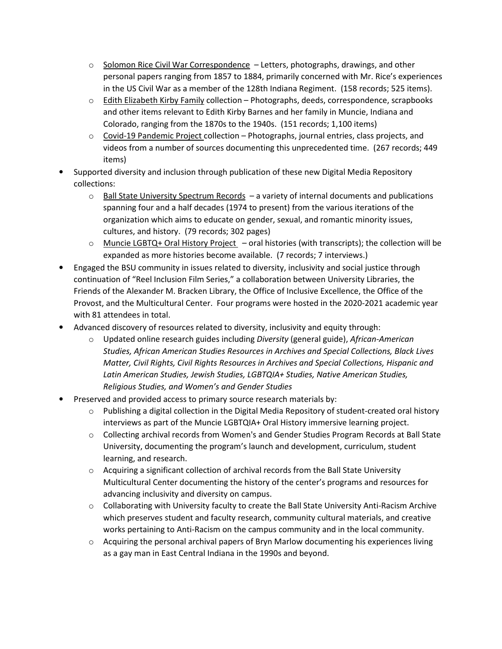- $\circ$  Solomon Rice Civil War Correspondence Letters, photographs, drawings, and other personal papers ranging from 1857 to 1884, primarily concerned with Mr. Rice's experiences in the US Civil War as a member of the 128th Indiana Regiment. (158 records; 525 items).
- $\circ$  Edith Elizabeth Kirby Family collection Photographs, deeds, correspondence, scrapbooks and other items relevant to Edith Kirby Barnes and her family in Muncie, Indiana and Colorado, ranging from the 1870s to the 1940s. (151 records; 1,100 items)
- $\circ$  Covid-19 Pandemic Project collection Photographs, journal entries, class projects, and videos from a number of sources documenting this unprecedented time. (267 records; 449 items)
- Supported diversity and inclusion through publication of these new Digital Media Repository collections:
	- $\circ$  Ball State University Spectrum Records  $-$  a variety of internal documents and publications spanning four and a half decades (1974 to present) from the various iterations of the organization which aims to educate on gender, sexual, and romantic minority issues, cultures, and history. (79 records; 302 pages)
	- o Muncie LGBTQ+ Oral History Project oral histories (with transcripts); the collection will be expanded as more histories become available. (7 records; 7 interviews.)
- Engaged the BSU community in issues related to diversity, inclusivity and social justice through continuation of "Reel Inclusion Film Series," a collaboration between University Libraries, the Friends of the Alexander M. Bracken Library, the Office of Inclusive Excellence, the Office of the Provost, and the Multicultural Center. Four programs were hosted in the 2020-2021 academic year with 81 attendees in total.
- Advanced discovery of resources related to diversity, inclusivity and equity through:
	- o Updated online research guides including *Diversity* (general guide), *African-American Studies, African American Studies Resources in Archives and Special Collections, Black Lives Matter, Civil Rights, Civil Rights Resources in Archives and Special Collections, Hispanic and Latin American Studies, Jewish Studies, LGBTQIA+ Studies, Native American Studies, Religious Studies, and Women's and Gender Studies*
- Preserved and provided access to primary source research materials by:
	- $\circ$  Publishing a digital collection in the Digital Media Repository of student-created oral history interviews as part of the Muncie LGBTQIA+ Oral History immersive learning project.
	- $\circ$  Collecting archival records from Women's and Gender Studies Program Records at Ball State University, documenting the program's launch and development, curriculum, student learning, and research.
	- $\circ$  Acquiring a significant collection of archival records from the Ball State University Multicultural Center documenting the history of the center's programs and resources for advancing inclusivity and diversity on campus.
	- $\circ$  Collaborating with University faculty to create the Ball State University Anti-Racism Archive which preserves student and faculty research, community cultural materials, and creative works pertaining to Anti-Racism on the campus community and in the local community.
	- $\circ$  Acquiring the personal archival papers of Bryn Marlow documenting his experiences living as a gay man in East Central Indiana in the 1990s and beyond.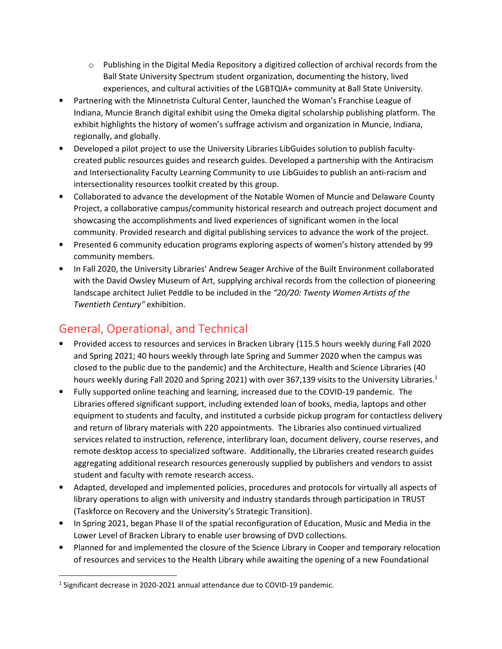- $\circ$  Publishing in the Digital Media Repository a digitized collection of archival records from the Ball State University Spectrum student organization, documenting the history, lived experiences, and cultural activities of the LGBTQIA+ community at Ball State University.
- Partnering with the Minnetrista Cultural Center, launched the Woman's Franchise League of Indiana, Muncie Branch digital exhibit using the Omeka digital scholarship publishing platform. The exhibit highlights the history of women's suffrage activism and organization in Muncie, Indiana, regionally, and globally.
- Developed a pilot project to use the University Libraries LibGuides solution to publish facultycreated public resources guides and research guides. Developed a partnership with the Antiracism and Intersectionality Faculty Learning Community to use LibGuides to publish an anti-racism and intersectionality resources toolkit created by this group.
- Collaborated to advance the development of the Notable Women of Muncie and Delaware County Project, a collaborative campus/community historical research and outreach project document and showcasing the accomplishments and lived experiences of significant women in the local community. Provided research and digital publishing services to advance the work of the project.
- Presented 6 community education programs exploring aspects of women's history attended by 99 community members.
- In Fall 2020, the University Libraries' Andrew Seager Archive of the Built Environment collaborated with the David Owsley Museum of Art, supplying archival records from the collection of pioneering landscape architect Juliet Peddle to be included in the *"20/20: Twenty Women Artists of the Twentieth Century"* exhibition.

# General, Operational, and Technical

- Provided access to resources and services in Bracken Library (115.5 hours weekly during Fall 2020 and Spring 2021; 40 hours weekly through late Spring and Summer 2020 when the campus was closed to the public due to the pandemic) and the Architecture, Health and Science Libraries (40 hours weekly during Fall 2020 and Spring 2021) with over 367,139 visits to the University Libraries.<sup>1</sup>
- Fully supported online teaching and learning, increased due to the COVID-19 pandemic. The Libraries offered significant support, including extended loan of books, media, laptops and other equipment to students and faculty, and instituted a curbside pickup program for contactless delivery and return of library materials with 220 appointments. The Libraries also continued virtualized services related to instruction, reference, interlibrary loan, document delivery, course reserves, and remote desktop access to specialized software. Additionally, the Libraries created research guides aggregating additional research resources generously supplied by publishers and vendors to assist student and faculty with remote research access.
- Adapted, developed and implemented policies, procedures and protocols for virtually all aspects of library operations to align with university and industry standards through participation in TRUST (Taskforce on Recovery and the University's Strategic Transition).
- In Spring 2021, began Phase II of the spatial reconfiguration of Education, Music and Media in the Lower Level of Bracken Library to enable user browsing of DVD collections.
- Planned for and implemented the closure of the Science Library in Cooper and temporary relocation of resources and services to the Health Library while awaiting the opening of a new Foundational

-

<sup>&</sup>lt;sup>1</sup> Significant decrease in 2020-2021 annual attendance due to COVID-19 pandemic.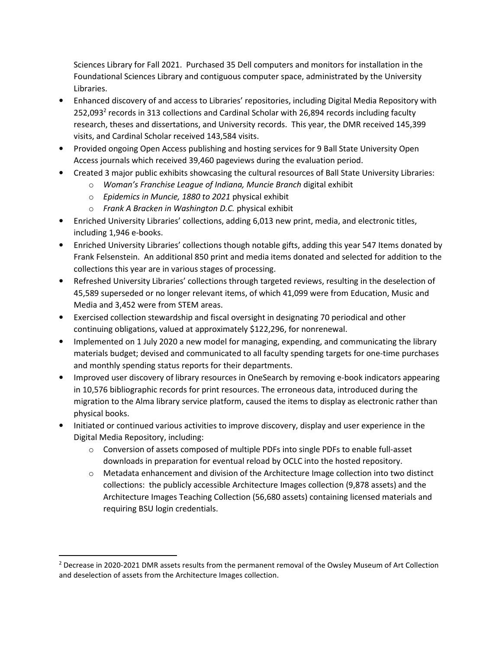Sciences Library for Fall 2021. Purchased 35 Dell computers and monitors for installation in the Foundational Sciences Library and contiguous computer space, administrated by the University Libraries.

- Enhanced discovery of and access to Libraries' repositories, including Digital Media Repository with 252,093<sup>2</sup> records in 313 collections and Cardinal Scholar with 26,894 records including faculty research, theses and dissertations, and University records. This year, the DMR received 145,399 visits, and Cardinal Scholar received 143,584 visits.
- Provided ongoing Open Access publishing and hosting services for 9 Ball State University Open Access journals which received 39,460 pageviews during the evaluation period.
- Created 3 major public exhibits showcasing the cultural resources of Ball State University Libraries:
	- o *Woman's Franchise League of Indiana, Muncie Branch* digital exhibit
	- o *Epidemics in Muncie, 1880 to 2021* physical exhibit
	- o *Frank A Bracken in Washington D.C.* physical exhibit
- Enriched University Libraries' collections, adding 6,013 new print, media, and electronic titles, including 1,946 e-books.
- Enriched University Libraries' collections though notable gifts, adding this year 547 Items donated by Frank Felsenstein. An additional 850 print and media items donated and selected for addition to the collections this year are in various stages of processing.
- Refreshed University Libraries' collections through targeted reviews, resulting in the deselection of 45,589 superseded or no longer relevant items, of which 41,099 were from Education, Music and Media and 3,452 were from STEM areas.
- Exercised collection stewardship and fiscal oversight in designating 70 periodical and other continuing obligations, valued at approximately \$122,296, for nonrenewal.
- Implemented on 1 July 2020 a new model for managing, expending, and communicating the library materials budget; devised and communicated to all faculty spending targets for one-time purchases and monthly spending status reports for their departments.
- Improved user discovery of library resources in OneSearch by removing e-book indicators appearing in 10,576 bibliographic records for print resources. The erroneous data, introduced during the migration to the Alma library service platform, caused the items to display as electronic rather than physical books.
- Initiated or continued various activities to improve discovery, display and user experience in the Digital Media Repository, including:
	- $\circ$  Conversion of assets composed of multiple PDFs into single PDFs to enable full-asset downloads in preparation for eventual reload by OCLC into the hosted repository.
	- o Metadata enhancement and division of the Architecture Image collection into two distinct collections: the publicly accessible Architecture Images collection (9,878 assets) and the Architecture Images Teaching Collection (56,680 assets) containing licensed materials and requiring BSU login credentials.

-

<sup>&</sup>lt;sup>2</sup> Decrease in 2020-2021 DMR assets results from the permanent removal of the Owsley Museum of Art Collection and deselection of assets from the Architecture Images collection.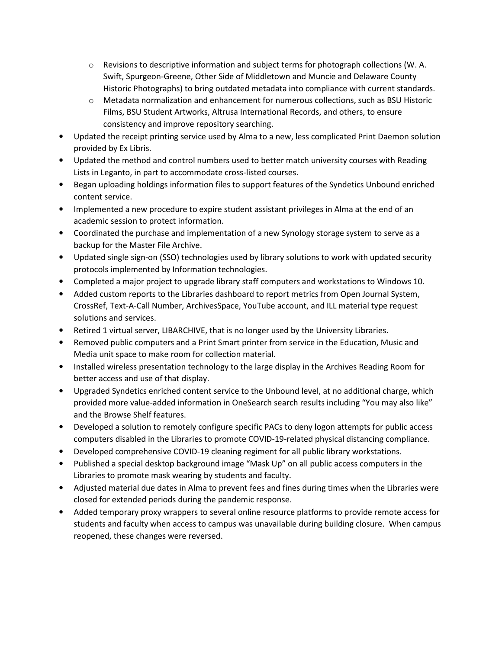- $\circ$  Revisions to descriptive information and subject terms for photograph collections (W. A. Swift, Spurgeon-Greene, Other Side of Middletown and Muncie and Delaware County Historic Photographs) to bring outdated metadata into compliance with current standards.
- $\circ$  Metadata normalization and enhancement for numerous collections, such as BSU Historic Films, BSU Student Artworks, Altrusa International Records, and others, to ensure consistency and improve repository searching.
- Updated the receipt printing service used by Alma to a new, less complicated Print Daemon solution provided by Ex Libris.
- Updated the method and control numbers used to better match university courses with Reading Lists in Leganto, in part to accommodate cross-listed courses.
- Began uploading holdings information files to support features of the Syndetics Unbound enriched content service.
- Implemented a new procedure to expire student assistant privileges in Alma at the end of an academic session to protect information.
- Coordinated the purchase and implementation of a new Synology storage system to serve as a backup for the Master File Archive.
- Updated single sign-on (SSO) technologies used by library solutions to work with updated security protocols implemented by Information technologies.
- Completed a major project to upgrade library staff computers and workstations to Windows 10.
- Added custom reports to the Libraries dashboard to report metrics from Open Journal System, CrossRef, Text-A-Call Number, ArchivesSpace, YouTube account, and ILL material type request solutions and services.
- Retired 1 virtual server, LIBARCHIVE, that is no longer used by the University Libraries.
- Removed public computers and a Print Smart printer from service in the Education, Music and Media unit space to make room for collection material.
- Installed wireless presentation technology to the large display in the Archives Reading Room for better access and use of that display.
- Upgraded Syndetics enriched content service to the Unbound level, at no additional charge, which provided more value-added information in OneSearch search results including "You may also like" and the Browse Shelf features.
- Developed a solution to remotely configure specific PACs to deny logon attempts for public access computers disabled in the Libraries to promote COVID-19-related physical distancing compliance.
- Developed comprehensive COVID-19 cleaning regiment for all public library workstations.
- Published a special desktop background image "Mask Up" on all public access computers in the Libraries to promote mask wearing by students and faculty.
- Adjusted material due dates in Alma to prevent fees and fines during times when the Libraries were closed for extended periods during the pandemic response.
- Added temporary proxy wrappers to several online resource platforms to provide remote access for students and faculty when access to campus was unavailable during building closure. When campus reopened, these changes were reversed.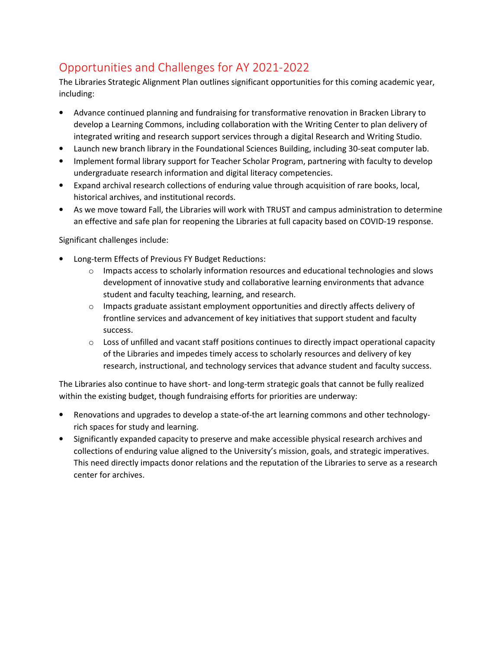# Opportunities and Challenges for AY 2021-2022

The Libraries Strategic Alignment Plan outlines significant opportunities for this coming academic year, including:

- Advance continued planning and fundraising for transformative renovation in Bracken Library to develop a Learning Commons, including collaboration with the Writing Center to plan delivery of integrated writing and research support services through a digital Research and Writing Studio.
- Launch new branch library in the Foundational Sciences Building, including 30-seat computer lab.
- Implement formal library support for Teacher Scholar Program, partnering with faculty to develop undergraduate research information and digital literacy competencies.
- Expand archival research collections of enduring value through acquisition of rare books, local, historical archives, and institutional records.
- As we move toward Fall, the Libraries will work with TRUST and campus administration to determine an effective and safe plan for reopening the Libraries at full capacity based on COVID-19 response.

Significant challenges include:

- Long-term Effects of Previous FY Budget Reductions:
	- $\circ$  Impacts access to scholarly information resources and educational technologies and slows development of innovative study and collaborative learning environments that advance student and faculty teaching, learning, and research.
	- $\circ$  Impacts graduate assistant employment opportunities and directly affects delivery of frontline services and advancement of key initiatives that support student and faculty success.
	- $\circ$  Loss of unfilled and vacant staff positions continues to directly impact operational capacity of the Libraries and impedes timely access to scholarly resources and delivery of key research, instructional, and technology services that advance student and faculty success.

The Libraries also continue to have short- and long-term strategic goals that cannot be fully realized within the existing budget, though fundraising efforts for priorities are underway:

- Renovations and upgrades to develop a state-of-the art learning commons and other technologyrich spaces for study and learning.
- Significantly expanded capacity to preserve and make accessible physical research archives and collections of enduring value aligned to the University's mission, goals, and strategic imperatives. This need directly impacts donor relations and the reputation of the Libraries to serve as a research center for archives.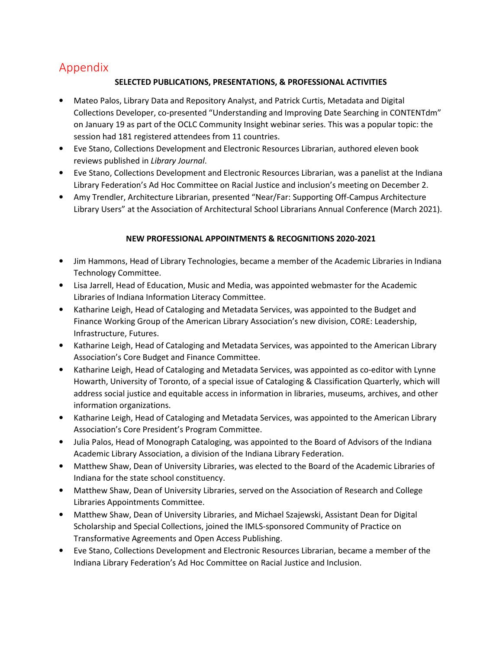## Appendix

#### **SELECTED PUBLICATIONS, PRESENTATIONS, & PROFESSIONAL ACTIVITIES**

- Mateo Palos, Library Data and Repository Analyst, and Patrick Curtis, Metadata and Digital Collections Developer, co-presented "Understanding and Improving Date Searching in CONTENTdm" on January 19 as part of the OCLC Community Insight webinar series. This was a popular topic: the session had 181 registered attendees from 11 countries.
- Eve Stano, Collections Development and Electronic Resources Librarian, authored eleven book reviews published in *Library Journal*.
- Eve Stano, Collections Development and Electronic Resources Librarian, was a panelist at the Indiana Library Federation's Ad Hoc Committee on Racial Justice and inclusion's meeting on December 2.
- Amy Trendler, Architecture Librarian, presented "Near/Far: Supporting Off-Campus Architecture Library Users" at the Association of Architectural School Librarians Annual Conference (March 2021).

#### **NEW PROFESSIONAL APPOINTMENTS & RECOGNITIONS 2020-2021**

- Jim Hammons, Head of Library Technologies, became a member of the Academic Libraries in Indiana Technology Committee.
- Lisa Jarrell, Head of Education, Music and Media, was appointed webmaster for the Academic Libraries of Indiana Information Literacy Committee.
- Katharine Leigh, Head of Cataloging and Metadata Services, was appointed to the Budget and Finance Working Group of the American Library Association's new division, CORE: Leadership, Infrastructure, Futures.
- Katharine Leigh, Head of Cataloging and Metadata Services, was appointed to the American Library Association's Core Budget and Finance Committee.
- Katharine Leigh, Head of Cataloging and Metadata Services, was appointed as co-editor with Lynne Howarth, University of Toronto, of a special issue of Cataloging & Classification Quarterly, which will address social justice and equitable access in information in libraries, museums, archives, and other information organizations.
- Katharine Leigh, Head of Cataloging and Metadata Services, was appointed to the American Library Association's Core President's Program Committee.
- Julia Palos, Head of Monograph Cataloging, was appointed to the Board of Advisors of the Indiana Academic Library Association, a division of the Indiana Library Federation.
- Matthew Shaw, Dean of University Libraries, was elected to the Board of the Academic Libraries of Indiana for the state school constituency.
- Matthew Shaw, Dean of University Libraries, served on the Association of Research and College Libraries Appointments Committee.
- Matthew Shaw, Dean of University Libraries, and Michael Szajewski, Assistant Dean for Digital Scholarship and Special Collections, joined the IMLS-sponsored Community of Practice on Transformative Agreements and Open Access Publishing.
- Eve Stano, Collections Development and Electronic Resources Librarian, became a member of the Indiana Library Federation's Ad Hoc Committee on Racial Justice and Inclusion.